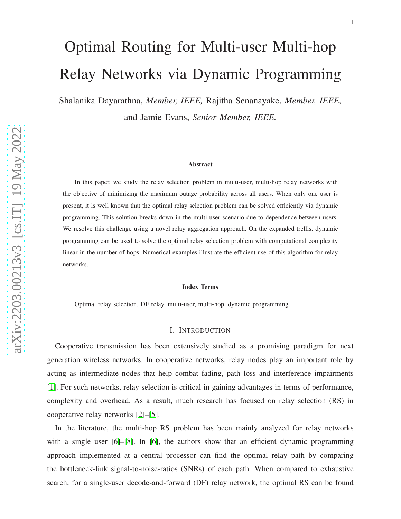# Optimal Routing for Multi-user Multi-hop Relay Networks via Dynamic Programming

Shalanika Dayarathna, *Member, IEEE,* Rajitha Senanayake, *Member, IEEE,* and Jamie Evans, *Senior Member, IEEE.*

#### Abstract

In this paper, we study the relay selection problem in multi-user, multi-hop relay networks with the objective of minimizing the maximum outage probability across all users. When only one user is present, it is well known that the optimal relay selection problem can be solved efficiently via dynamic programming. This solution breaks down in the multi-user scenario due to dependence between users. We resolve this challenge using a novel relay aggregation approach. On the expanded trellis, dynamic programming can be used to solve the optimal relay selection problem with computational complexity linear in the number of hops. Numerical examples illustrate the efficient use of this algorithm for relay networks.

#### Index Terms

Optimal relay selection, DF relay, multi-user, multi-hop, dynamic programming.

#### I. INTRODUCTION

Cooperative transmission has been extensively studied as a promising paradigm for next generation wireless networks. In cooperative networks, relay nodes play an important role by acting as intermediate nodes that help combat fading, path loss and interference impairments [\[1\]](#page-14-0). For such networks, relay selection is critical in gaining advantages in terms of performance, complexity and overhead. As a result, much research has focused on relay selection (RS) in cooperative relay networks [\[2\]](#page-14-1)–[\[5\]](#page-14-2).

In the literature, the multi-hop RS problem has been mainly analyzed for relay networks with a single user [\[6\]](#page-14-3)–[\[8\]](#page-14-4). In [\[6\]](#page-14-3), the authors show that an efficient dynamic programming approach implemented at a central processor can find the optimal relay path by comparing the bottleneck-link signal-to-noise-ratios (SNRs) of each path. When compared to exhaustive search, for a single-user decode-and-forward (DF) relay network, the optimal RS can be found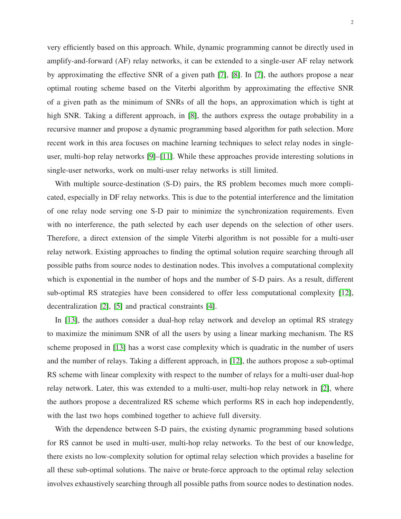very efficiently based on this approach. While, dynamic programming cannot be directly used in amplify-and-forward (AF) relay networks, it can be extended to a single-user AF relay network by approximating the effective SNR of a given path [\[7\]](#page-14-5), [\[8\]](#page-14-4). In [\[7\]](#page-14-5), the authors propose a near optimal routing scheme based on the Viterbi algorithm by approximating the effective SNR of a given path as the minimum of SNRs of all the hops, an approximation which is tight at high SNR. Taking a different approach, in [\[8\]](#page-14-4), the authors express the outage probability in a recursive manner and propose a dynamic programming based algorithm for path selection. More recent work in this area focuses on machine learning techniques to select relay nodes in singleuser, multi-hop relay networks [\[9\]](#page-14-6)–[\[11\]](#page-14-7). While these approaches provide interesting solutions in single-user networks, work on multi-user relay networks is still limited.

With multiple source-destination (S-D) pairs, the RS problem becomes much more complicated, especially in DF relay networks. This is due to the potential interference and the limitation of one relay node serving one S-D pair to minimize the synchronization requirements. Even with no interference, the path selected by each user depends on the selection of other users. Therefore, a direct extension of the simple Viterbi algorithm is not possible for a multi-user relay network. Existing approaches to finding the optimal solution require searching through all possible paths from source nodes to destination nodes. This involves a computational complexity which is exponential in the number of hops and the number of S-D pairs. As a result, different sub-optimal RS strategies have been considered to offer less computational complexity [\[12\]](#page-14-8), decentralization [\[2\]](#page-14-1), [\[5\]](#page-14-2) and practical constraints [\[4\]](#page-14-9).

In [\[13\]](#page-14-10), the authors consider a dual-hop relay network and develop an optimal RS strategy to maximize the minimum SNR of all the users by using a linear marking mechanism. The RS scheme proposed in [\[13\]](#page-14-10) has a worst case complexity which is quadratic in the number of users and the number of relays. Taking a different approach, in [\[12\]](#page-14-8), the authors propose a sub-optimal RS scheme with linear complexity with respect to the number of relays for a multi-user dual-hop relay network. Later, this was extended to a multi-user, multi-hop relay network in [\[2\]](#page-14-1), where the authors propose a decentralized RS scheme which performs RS in each hop independently, with the last two hops combined together to achieve full diversity.

With the dependence between S-D pairs, the existing dynamic programming based solutions for RS cannot be used in multi-user, multi-hop relay networks. To the best of our knowledge, there exists no low-complexity solution for optimal relay selection which provides a baseline for all these sub-optimal solutions. The naive or brute-force approach to the optimal relay selection involves exhaustively searching through all possible paths from source nodes to destination nodes.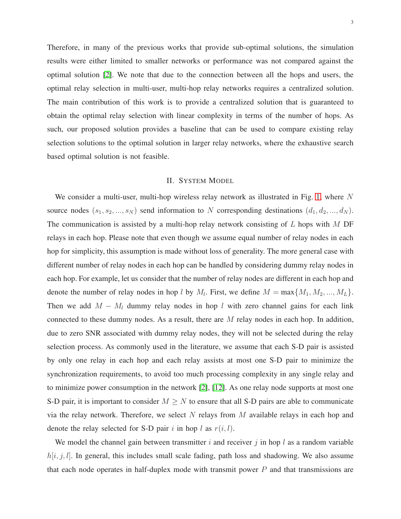Therefore, in many of the previous works that provide sub-optimal solutions, the simulation results were either limited to smaller networks or performance was not compared against the optimal solution [\[2\]](#page-14-1). We note that due to the connection between all the hops and users, the optimal relay selection in multi-user, multi-hop relay networks requires a centralized solution. The main contribution of this work is to provide a centralized solution that is guaranteed to obtain the optimal relay selection with linear complexity in terms of the number of hops. As such, our proposed solution provides a baseline that can be used to compare existing relay selection solutions to the optimal solution in larger relay networks, where the exhaustive search based optimal solution is not feasible.

## II. SYSTEM MODEL

We consider a multi-user, multi-hop wireless relay network as illustrated in Fig. [1,](#page-3-0) where  $N$ source nodes  $(s_1, s_2, ..., s_N)$  send information to N corresponding destinations  $(d_1, d_2, ..., d_N)$ . The communication is assisted by a multi-hop relay network consisting of  $L$  hops with  $M$  DF relays in each hop. Please note that even though we assume equal number of relay nodes in each hop for simplicity, this assumption is made without loss of generality. The more general case with different number of relay nodes in each hop can be handled by considering dummy relay nodes in each hop. For example, let us consider that the number of relay nodes are different in each hop and denote the number of relay nodes in hop l by  $M_l$ . First, we define  $M = \max\{M_1, M_2, ..., M_L\}$ . Then we add  $M - M_l$  dummy relay nodes in hop l with zero channel gains for each link connected to these dummy nodes. As a result, there are M relay nodes in each hop. In addition, due to zero SNR associated with dummy relay nodes, they will not be selected during the relay selection process. As commonly used in the literature, we assume that each S-D pair is assisted by only one relay in each hop and each relay assists at most one S-D pair to minimize the synchronization requirements, to avoid too much processing complexity in any single relay and to minimize power consumption in the network [\[2\]](#page-14-1), [\[12\]](#page-14-8). As one relay node supports at most one S-D pair, it is important to consider  $M \geq N$  to ensure that all S-D pairs are able to communicate via the relay network. Therefore, we select N relays from M available relays in each hop and denote the relay selected for S-D pair i in hop l as  $r(i, l)$ .

We model the channel gain between transmitter i and receiver j in hop l as a random variable  $h[i, j, l]$ . In general, this includes small scale fading, path loss and shadowing. We also assume that each node operates in half-duplex mode with transmit power  $P$  and that transmissions are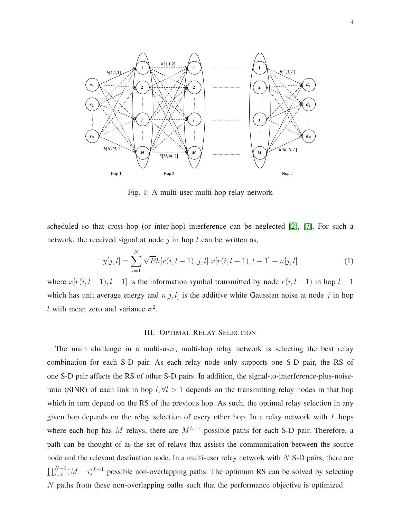<span id="page-3-0"></span>

Fig. 1: A multi-user multi-hop relay network

scheduled so that cross-hop (or inter-hop) interference can be neglected [\[2\]](#page-14-1), [\[7\]](#page-14-5). For such a network, the received signal at node  $j$  in hop  $l$  can be written as,

$$
y[j,l] = \sum_{i=1}^{N} \sqrt{P}h[r(i,l-1),j,l] \ x[r(i,l-1),l-1] + n[j,l] \tag{1}
$$

where  $x[r(i, l-1), l-1]$  is the information symbol transmitted by node  $r(i, l-1)$  in hop  $l-1$ which has unit average energy and  $n[j, l]$  is the additive white Gaussian noise at node j in hop l with mean zero and variance  $\sigma^2$ .

### III. OPTIMAL RELAY SELECTION

The main challenge in a multi-user, multi-hop relay network is selecting the best relay combination for each S-D pair. As each relay node only supports one S-D pair, the RS of one S-D pair affects the RS of other S-D pairs. In addition, the signal-to-interference-plus-noiseratio (SINR) of each link in hop  $l, \forall l > 1$  depends on the transmitting relay nodes in that hop which in turn depend on the RS of the previous hop. As such, the optimal relay selection in any given hop depends on the relay selection of every other hop. In a relay network with  $L$  hops where each hop has M relays, there are  $M^{L-1}$  possible paths for each S-D pair. Therefore, a path can be thought of as the set of relays that assists the communication between the source node and the relevant destination node. In a multi-user relay network with  $N$  S-D pairs, there are  $\prod_{i=0}^{N-1} (M - i)^{L-1}$  possible non-overlapping paths. The optimum RS can be solved by selecting N paths from these non-overlapping paths such that the performance objective is optimized.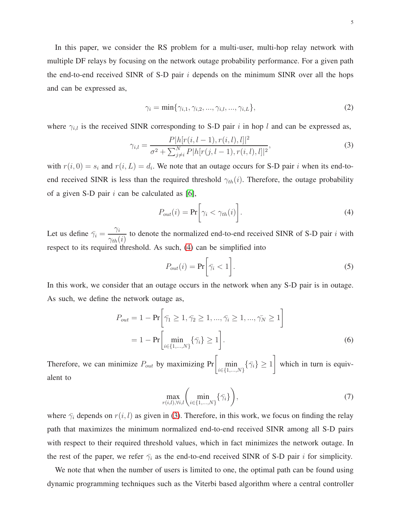In this paper, we consider the RS problem for a multi-user, multi-hop relay network with multiple DF relays by focusing on the network outage probability performance. For a given path the end-to-end received SINR of S-D pair  $i$  depends on the minimum SINR over all the hops and can be expressed as,

$$
\gamma_i = \min\{\gamma_{i,1}, \gamma_{i,2}, ..., \gamma_{i,l}, ..., \gamma_{i,L}\},\tag{2}
$$

where  $\gamma_{i,l}$  is the received SINR corresponding to S-D pair i in hop l and can be expressed as,

$$
\gamma_{i,l} = \frac{P|h[r(i, l-1), r(i, l), l]|^2}{\sigma^2 + \sum_{j \neq i}^N P|h[r(j, l-1), r(i, l), l]|^2},\tag{3}
$$

with  $r(i, 0) = s_i$  and  $r(i, L) = d_i$ . We note that an outage occurs for S-D pair i when its end-toend received SINR is less than the required threshold  $\gamma_{th}(i)$ . Therefore, the outage probability of a given S-D pair  $i$  can be calculated as [\[6\]](#page-14-3),

<span id="page-4-1"></span><span id="page-4-0"></span>
$$
P_{out}(i) = \Pr\bigg[\gamma_i < \gamma_{th}(i)\bigg].\tag{4}
$$

Let us define  $\bar{\gamma}_i =$  $\gamma_i$  $\gamma_{th}(i)$ to denote the normalized end-to-end received SINR of S-D pair  $i$  with respect to its required threshold. As such, [\(4\)](#page-4-0) can be simplified into

$$
P_{out}(i) = \Pr\bigg[\bar{\gamma}_i < 1\bigg].\tag{5}
$$

In this work, we consider that an outage occurs in the network when any S-D pair is in outage. As such, we define the network outage as,

$$
P_{out} = 1 - \Pr\bigg[\bar{\gamma_1} \ge 1, \bar{\gamma_2} \ge 1, ..., \bar{\gamma_i} \ge 1, ..., \bar{\gamma_N} \ge 1\bigg]
$$
  
= 1 - \Pr\bigg[\min\_{i \in \{1, ..., N\}} \{\bar{\gamma\_i}\} \ge 1\bigg]. (6)

Therefore, we can minimize  $P_{out}$  by maximizing  $Pr\left[\min_{i \in \{1,...,N\}} \{\bar{\gamma}_i\} \geq 1\right]$ which in turn is equivalent to

$$
\max_{r(i,l),\forall i,l} \left( \min_{i \in \{1,\dots,N\}} \{\bar{\gamma}_i\} \right),\tag{7}
$$

where  $\bar{\gamma}_i$  depends on  $r(i, l)$  as given in [\(3\)](#page-4-1). Therefore, in this work, we focus on finding the relay path that maximizes the minimum normalized end-to-end received SINR among all S-D pairs with respect to their required threshold values, which in fact minimizes the network outage. In the rest of the paper, we refer  $\bar{\gamma}_i$  as the end-to-end received SINR of S-D pair i for simplicity.

We note that when the number of users is limited to one, the optimal path can be found using dynamic programming techniques such as the Viterbi based algorithm where a central controller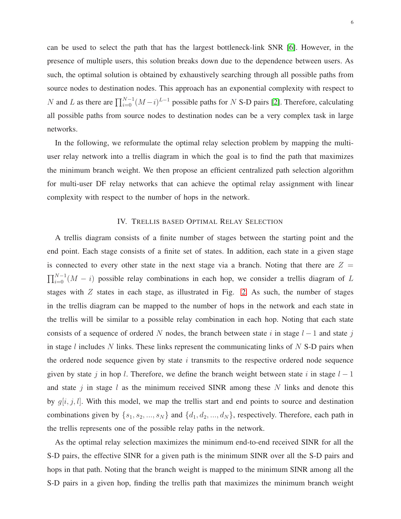can be used to select the path that has the largest bottleneck-link SNR [\[6\]](#page-14-3). However, in the presence of multiple users, this solution breaks down due to the dependence between users. As such, the optimal solution is obtained by exhaustively searching through all possible paths from source nodes to destination nodes. This approach has an exponential complexity with respect to N and L as there are  $\prod_{i=0}^{N-1} (M-i)^{L-1}$  possible paths for N S-D pairs [\[2\]](#page-14-1). Therefore, calculating all possible paths from source nodes to destination nodes can be a very complex task in large networks.

In the following, we reformulate the optimal relay selection problem by mapping the multiuser relay network into a trellis diagram in which the goal is to find the path that maximizes the minimum branch weight. We then propose an efficient centralized path selection algorithm for multi-user DF relay networks that can achieve the optimal relay assignment with linear complexity with respect to the number of hops in the network.

## IV. TRELLIS BASED OPTIMAL RELAY SELECTION

A trellis diagram consists of a finite number of stages between the starting point and the end point. Each stage consists of a finite set of states. In addition, each state in a given stage is connected to every other state in the next stage via a branch. Noting that there are  $Z =$  $\prod_{i=0}^{N-1} (M - i)$  possible relay combinations in each hop, we consider a trellis diagram of L stages with  $Z$  states in each stage, as illustrated in Fig. [2.](#page-6-0) As such, the number of stages in the trellis diagram can be mapped to the number of hops in the network and each state in the trellis will be similar to a possible relay combination in each hop. Noting that each state consists of a sequence of ordered N nodes, the branch between state i in stage  $l-1$  and state j in stage  $l$  includes  $N$  links. These links represent the communicating links of  $N$  S-D pairs when the ordered node sequence given by state  $i$  transmits to the respective ordered node sequence given by state j in hop l. Therefore, we define the branch weight between state i in stage  $l - 1$ and state j in stage l as the minimum received SINR among these N links and denote this by  $g[i, j, l]$ . With this model, we map the trellis start and end points to source and destination combinations given by  $\{s_1, s_2, ..., s_N\}$  and  $\{d_1, d_2, ..., d_N\}$ , respectively. Therefore, each path in the trellis represents one of the possible relay paths in the network.

As the optimal relay selection maximizes the minimum end-to-end received SINR for all the S-D pairs, the effective SINR for a given path is the minimum SINR over all the S-D pairs and hops in that path. Noting that the branch weight is mapped to the minimum SINR among all the S-D pairs in a given hop, finding the trellis path that maximizes the minimum branch weight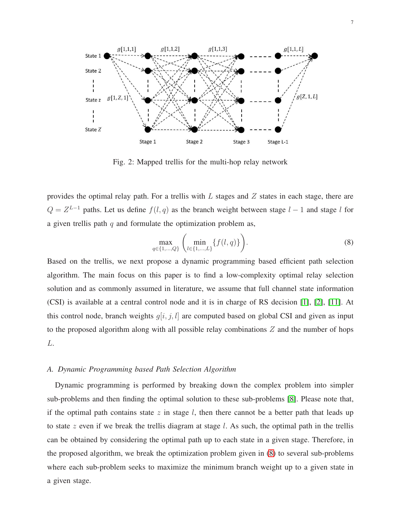<span id="page-6-0"></span>

Fig. 2: Mapped trellis for the multi-hop relay network

provides the optimal relay path. For a trellis with  $L$  stages and  $Z$  states in each stage, there are  $Q = Z^{L-1}$  paths. Let us define  $f(l, q)$  as the branch weight between stage  $l-1$  and stage l for a given trellis path  $q$  and formulate the optimization problem as,

<span id="page-6-1"></span>
$$
\max_{q \in \{1, \dots, Q\}} \left( \min_{l \in \{1, \dots, L\}} \{f(l, q)\} \right). \tag{8}
$$

Based on the trellis, we next propose a dynamic programming based efficient path selection algorithm. The main focus on this paper is to find a low-complexity optimal relay selection solution and as commonly assumed in literature, we assume that full channel state information (CSI) is available at a central control node and it is in charge of RS decision [\[1\]](#page-14-0), [\[2\]](#page-14-1), [\[11\]](#page-14-7). At this control node, branch weights  $g[i, j, l]$  are computed based on global CSI and given as input to the proposed algorithm along with all possible relay combinations  $Z$  and the number of hops L.

## *A. Dynamic Programming based Path Selection Algorithm*

Dynamic programming is performed by breaking down the complex problem into simpler sub-problems and then finding the optimal solution to these sub-problems [\[8\]](#page-14-4). Please note that, if the optimal path contains state  $z$  in stage  $l$ , then there cannot be a better path that leads up to state z even if we break the trellis diagram at stage l. As such, the optimal path in the trellis can be obtained by considering the optimal path up to each state in a given stage. Therefore, in the proposed algorithm, we break the optimization problem given in [\(8\)](#page-6-1) to several sub-problems where each sub-problem seeks to maximize the minimum branch weight up to a given state in a given stage.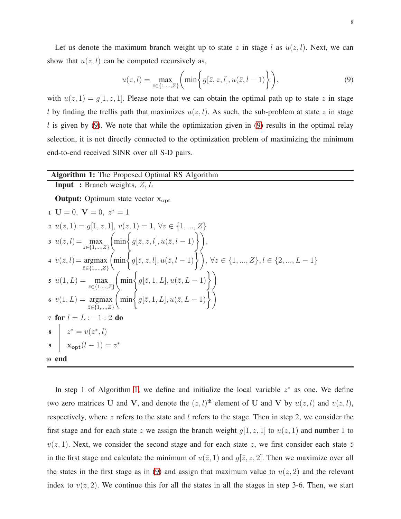Let us denote the maximum branch weight up to state z in stage l as  $u(z, l)$ . Next, we can show that  $u(z, l)$  can be computed recursively as,

<span id="page-7-0"></span>
$$
u(z,l) = \max_{\bar{z}\in\{1,\ldots,Z\}} \bigg(\min\bigg\{g[\bar{z},z,l],u(\bar{z},l-1)\bigg\}\bigg),\tag{9}
$$

with  $u(z, 1) = g(1, z, 1)$ . Please note that we can obtain the optimal path up to state z in stage l by finding the trellis path that maximizes  $u(z, l)$ . As such, the sub-problem at state z in stage  $l$  is given by [\(9\)](#page-7-0). We note that while the optimization given in [\(9\)](#page-7-0) results in the optimal relay selection, it is not directly connected to the optimization problem of maximizing the minimum end-to-end received SINR over all S-D pairs.

## Algorithm 1: The Proposed Optimal RS Algorithm

**Input** : Branch weights,  $Z, L$ 

Output: Optimum state vector  $x_{opt}$ 

1 
$$
U = 0
$$
,  $V = 0$ ,  $z^* = 1$   
\n2  $u(z, 1) = g[1, z, 1]$ ,  $v(z, 1) = 1$ ,  $\forall z \in \{1, ..., Z\}$   
\n3  $u(z, l) = \max_{\tilde{z} \in \{1, ..., Z\}} \left( \min \left\{ g[\bar{z}, z, l], u(\bar{z}, l-1) \right\} \right),$   
\n4  $v(z, l) = \operatorname*{argmax}_{\tilde{z} \in \{1, ..., Z\}} \left( \min \left\{ g[\bar{z}, z, l], u(\bar{z}, l-1) \right\} \right), \forall z \in \{1, ..., Z\}, l \in \{2, ..., L-1\}$   
\n5  $u(1, L) = \max_{\tilde{z} \in \{1, ..., Z\}} \left( \min \left\{ g[\bar{z}, 1, L], u(\bar{z}, L-1) \right\} \right)$   
\n6  $v(1, L) = \operatorname*{argmax}_{\tilde{z} \in \{1, ..., Z\}} \left( \min \left\{ g[\bar{z}, 1, L], u(\bar{z}, L-1) \right\} \right)$   
\n7 **for**  $l = L : -1 : 2$  **do**  
\n8  $z^* = v(z^*, l)$   
\n9  $\max \left( \min \left\{ g[\bar{z}, 1, L], u(\bar{z}, L-1) \right\} \right)$   
\n10 **end**

<span id="page-7-1"></span>In step 1 of Algorithm [1,](#page-7-1) we define and initialize the local variable  $z^*$  as one. We define two zero matrices U and V, and denote the  $(z, l)$ <sup>th</sup> element of U and V by  $u(z, l)$  and  $v(z, l)$ , respectively, where  $z$  refers to the state and  $l$  refers to the stage. Then in step 2, we consider the first stage and for each state z we assign the branch weight  $g[1, z, 1]$  to  $u(z, 1)$  and number 1 to  $v(z, 1)$ . Next, we consider the second stage and for each state z, we first consider each state  $\overline{z}$ in the first stage and calculate the minimum of  $u(\bar{z}, 1)$  and  $g[\bar{z}, z, 2]$ . Then we maximize over all the states in the first stage as in [\(9\)](#page-7-0) and assign that maximum value to  $u(z, 2)$  and the relevant index to  $v(z, 2)$ . We continue this for all the states in all the stages in step 3-6. Then, we start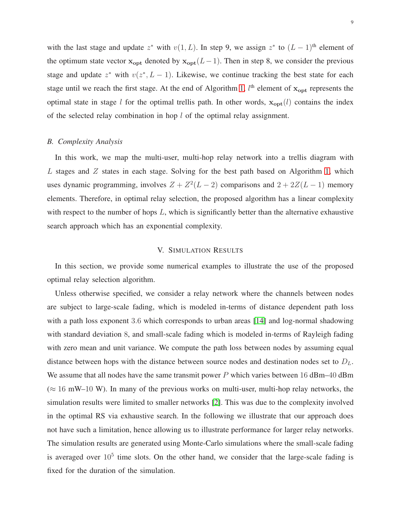with the last stage and update  $z^*$  with  $v(1, L)$ . In step 9, we assign  $z^*$  to  $(L - 1)$ <sup>th</sup> element of the optimum state vector  $x_{opt}$  denoted by  $x_{opt}(L-1)$ . Then in step 8, we consider the previous stage and update  $z^*$  with  $v(z^*, L - 1)$ . Likewise, we continue tracking the best state for each stage until we reach the first stage. At the end of Algorithm [1,](#page-7-1)  $l^{\text{th}}$  element of  $\mathbf{x}_{\text{opt}}$  represents the optimal state in stage l for the optimal trellis path. In other words,  $x_{opt}(l)$  contains the index of the selected relay combination in hop  $l$  of the optimal relay assignment.

#### <span id="page-8-0"></span>*B. Complexity Analysis*

In this work, we map the multi-user, multi-hop relay network into a trellis diagram with L stages and  $Z$  states in each stage. Solving for the best path based on Algorithm [1,](#page-7-1) which uses dynamic programming, involves  $Z + Z^2(L-2)$  comparisons and  $2 + 2Z(L-1)$  memory elements. Therefore, in optimal relay selection, the proposed algorithm has a linear complexity with respect to the number of hops  $L$ , which is significantly better than the alternative exhaustive search approach which has an exponential complexity.

## V. SIMULATION RESULTS

In this section, we provide some numerical examples to illustrate the use of the proposed optimal relay selection algorithm.

Unless otherwise specified, we consider a relay network where the channels between nodes are subject to large-scale fading, which is modeled in-terms of distance dependent path loss with a path loss exponent 3.6 which corresponds to urban areas [\[14\]](#page-14-11) and log-normal shadowing with standard deviation 8, and small-scale fading which is modeled in-terms of Rayleigh fading with zero mean and unit variance. We compute the path loss between nodes by assuming equal distance between hops with the distance between source nodes and destination nodes set to  $D_L$ . We assume that all nodes have the same transmit power  $P$  which varies between 16 dBm–40 dBm  $(\approx 16$  mW–10 W). In many of the previous works on multi-user, multi-hop relay networks, the simulation results were limited to smaller networks [\[2\]](#page-14-1). This was due to the complexity involved in the optimal RS via exhaustive search. In the following we illustrate that our approach does not have such a limitation, hence allowing us to illustrate performance for larger relay networks. The simulation results are generated using Monte-Carlo simulations where the small-scale fading is averaged over  $10^5$  time slots. On the other hand, we consider that the large-scale fading is fixed for the duration of the simulation.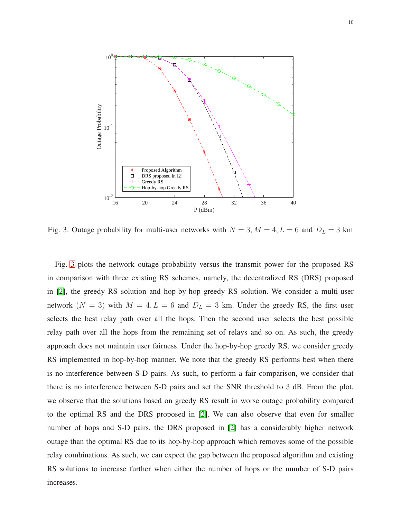<span id="page-9-0"></span>

Fig. 3: Outage probability for multi-user networks with  $N = 3, M = 4, L = 6$  and  $D<sub>L</sub> = 3$  km

Fig. [3](#page-9-0) plots the network outage probability versus the transmit power for the proposed RS in comparison with three existing RS schemes, namely, the decentralized RS (DRS) proposed in [\[2\]](#page-14-1), the greedy RS solution and hop-by-hop greedy RS solution. We consider a multi-user network  $(N = 3)$  with  $M = 4, L = 6$  and  $D<sub>L</sub> = 3$  km. Under the greedy RS, the first user selects the best relay path over all the hops. Then the second user selects the best possible relay path over all the hops from the remaining set of relays and so on. As such, the greedy approach does not maintain user fairness. Under the hop-by-hop greedy RS, we consider greedy RS implemented in hop-by-hop manner. We note that the greedy RS performs best when there is no interference between S-D pairs. As such, to perform a fair comparison, we consider that there is no interference between S-D pairs and set the SNR threshold to 3 dB. From the plot, we observe that the solutions based on greedy RS result in worse outage probability compared to the optimal RS and the DRS proposed in [\[2\]](#page-14-1). We can also observe that even for smaller number of hops and S-D pairs, the DRS proposed in [\[2\]](#page-14-1) has a considerably higher network outage than the optimal RS due to its hop-by-hop approach which removes some of the possible relay combinations. As such, we can expect the gap between the proposed algorithm and existing RS solutions to increase further when either the number of hops or the number of S-D pairs increases.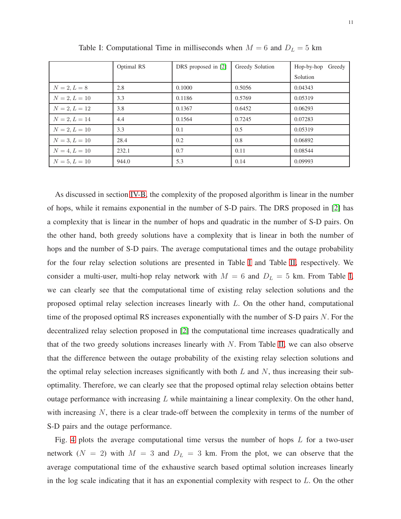|                 | Optimal RS | DRS proposed in [2] | Greedy Solution | Hop-by-hop<br>Greedy |
|-----------------|------------|---------------------|-----------------|----------------------|
|                 |            |                     |                 | Solution             |
| $N = 2, L = 8$  | 2.8        | 0.1000              | 0.5056          | 0.04343              |
| $N = 2, L = 10$ | 3.3        | 0.1186              | 0.5769          | 0.05319              |
| $N = 2, L = 12$ | 3.8        | 0.1367              | 0.6452          | 0.06293              |
| $N = 2, L = 14$ | 4.4        | 0.1564              | 0.7245          | 0.07283              |
| $N = 2, L = 10$ | 3.3        | 0.1                 | 0.5             | 0.05319              |
| $N = 3, L = 10$ | 28.4       | 0.2                 | 0.8             | 0.06892              |
| $N = 4, L = 10$ | 232.1      | 0.7                 | 0.11            | 0.08544              |
| $N = 5, L = 10$ | 944.0      | 5.3                 | 0.14            | 0.09993              |

<span id="page-10-0"></span>Table I: Computational Time in milliseconds when  $M = 6$  and  $D<sub>L</sub> = 5$  km

As discussed in section [IV-B,](#page-8-0) the complexity of the proposed algorithm is linear in the number of hops, while it remains exponential in the number of S-D pairs. The DRS proposed in [\[2\]](#page-14-1) has a complexity that is linear in the number of hops and quadratic in the number of S-D pairs. On the other hand, both greedy solutions have a complexity that is linear in both the number of hops and the number of S-D pairs. The average computational times and the outage probability for the four relay selection solutions are presented in Table [I](#page-10-0) and Table [II,](#page-11-0) respectively. We consider a multi-user, multi-hop relay network with  $M = 6$  and  $D_L = 5$  km. From Table [I,](#page-10-0) we can clearly see that the computational time of existing relay selection solutions and the proposed optimal relay selection increases linearly with L. On the other hand, computational time of the proposed optimal RS increases exponentially with the number of S-D pairs  $N$ . For the decentralized relay selection proposed in [\[2\]](#page-14-1) the computational time increases quadratically and that of the two greedy solutions increases linearly with  $N$ . From Table [II,](#page-11-0) we can also observe that the difference between the outage probability of the existing relay selection solutions and the optimal relay selection increases significantly with both  $L$  and  $N$ , thus increasing their suboptimality. Therefore, we can clearly see that the proposed optimal relay selection obtains better outage performance with increasing  $L$  while maintaining a linear complexity. On the other hand, with increasing N, there is a clear trade-off between the complexity in terms of the number of S-D pairs and the outage performance.

Fig. [4](#page-11-1) plots the average computational time versus the number of hops  $L$  for a two-user network ( $N = 2$ ) with  $M = 3$  and  $D<sub>L</sub> = 3$  km. From the plot, we can observe that the average computational time of the exhaustive search based optimal solution increases linearly in the log scale indicating that it has an exponential complexity with respect to  $L$ . On the other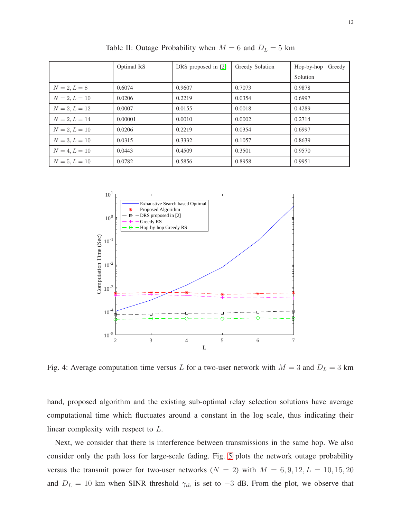<span id="page-11-0"></span>

|                 | Optimal RS | DRS proposed in [2] | Greedy Solution | Greedy<br>Hop-by-hop |
|-----------------|------------|---------------------|-----------------|----------------------|
|                 |            |                     |                 | Solution             |
| $N = 2, L = 8$  | 0.6074     | 0.9607              | 0.7073          | 0.9878               |
| $N = 2, L = 10$ | 0.0206     | 0.2219              | 0.0354          | 0.6997               |
| $N = 2, L = 12$ | 0.0007     | 0.0155              | 0.0018          | 0.4289               |
| $N = 2, L = 14$ | 0.00001    | 0.0010              | 0.0002          | 0.2714               |
| $N = 2, L = 10$ | 0.0206     | 0.2219              | 0.0354          | 0.6997               |
| $N = 3, L = 10$ | 0.0315     | 0.3332              | 0.1057          | 0.8639               |
| $N = 4, L = 10$ | 0.0443     | 0.4509              | 0.3501          | 0.9570               |
| $N = 5, L = 10$ | 0.0782     | 0.5856              | 0.8958          | 0.9951               |

Table II: Outage Probability when  $M = 6$  and  $D_L = 5$  km

<span id="page-11-1"></span>

Fig. 4: Average computation time versus L for a two-user network with  $M = 3$  and  $D<sub>L</sub> = 3$  km

hand, proposed algorithm and the existing sub-optimal relay selection solutions have average computational time which fluctuates around a constant in the log scale, thus indicating their linear complexity with respect to L.

Next, we consider that there is interference between transmissions in the same hop. We also consider only the path loss for large-scale fading. Fig. [5](#page-12-0) plots the network outage probability versus the transmit power for two-user networks ( $N = 2$ ) with  $M = 6, 9, 12, L = 10, 15, 20$ and  $D_L = 10$  km when SINR threshold  $\gamma_{th}$  is set to  $-3$  dB. From the plot, we observe that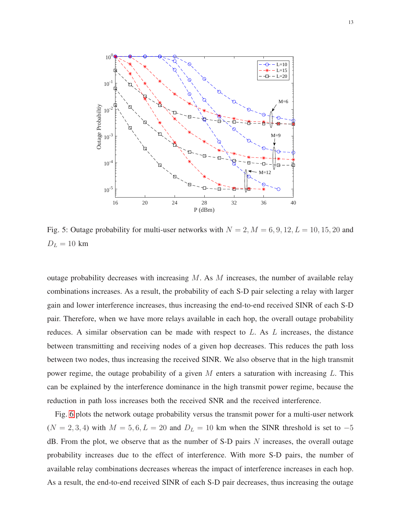<span id="page-12-0"></span>

Fig. 5: Outage probability for multi-user networks with  $N = 2$ ,  $M = 6, 9, 12, L = 10, 15, 20$  and  $D_L = 10 \text{ km}$ 

outage probability decreases with increasing  $M$ . As  $M$  increases, the number of available relay combinations increases. As a result, the probability of each S-D pair selecting a relay with larger gain and lower interference increases, thus increasing the end-to-end received SINR of each S-D pair. Therefore, when we have more relays available in each hop, the overall outage probability reduces. A similar observation can be made with respect to L. As L increases, the distance between transmitting and receiving nodes of a given hop decreases. This reduces the path loss between two nodes, thus increasing the received SINR. We also observe that in the high transmit power regime, the outage probability of a given M enters a saturation with increasing L. This can be explained by the interference dominance in the high transmit power regime, because the reduction in path loss increases both the received SNR and the received interference.

Fig. [6](#page-13-0) plots the network outage probability versus the transmit power for a multi-user network  $(N = 2, 3, 4)$  with  $M = 5, 6, L = 20$  and  $D<sub>L</sub> = 10$  km when the SINR threshold is set to  $-5$  $dB$ . From the plot, we observe that as the number of S-D pairs  $N$  increases, the overall outage probability increases due to the effect of interference. With more S-D pairs, the number of available relay combinations decreases whereas the impact of interference increases in each hop. As a result, the end-to-end received SINR of each S-D pair decreases, thus increasing the outage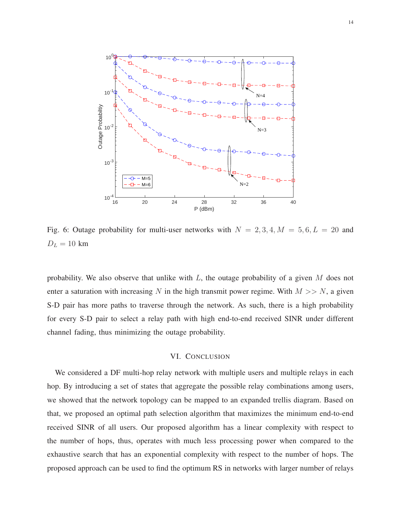<span id="page-13-0"></span>

Fig. 6: Outage probability for multi-user networks with  $N = 2, 3, 4, M = 5, 6, L = 20$  and  $D_L = 10 \text{ km}$ 

probability. We also observe that unlike with  $L$ , the outage probability of a given  $M$  does not enter a saturation with increasing N in the high transmit power regime. With  $M \gg N$ , a given S-D pair has more paths to traverse through the network. As such, there is a high probability for every S-D pair to select a relay path with high end-to-end received SINR under different channel fading, thus minimizing the outage probability.

## VI. CONCLUSION

We considered a DF multi-hop relay network with multiple users and multiple relays in each hop. By introducing a set of states that aggregate the possible relay combinations among users, we showed that the network topology can be mapped to an expanded trellis diagram. Based on that, we proposed an optimal path selection algorithm that maximizes the minimum end-to-end received SINR of all users. Our proposed algorithm has a linear complexity with respect to the number of hops, thus, operates with much less processing power when compared to the exhaustive search that has an exponential complexity with respect to the number of hops. The proposed approach can be used to find the optimum RS in networks with larger number of relays